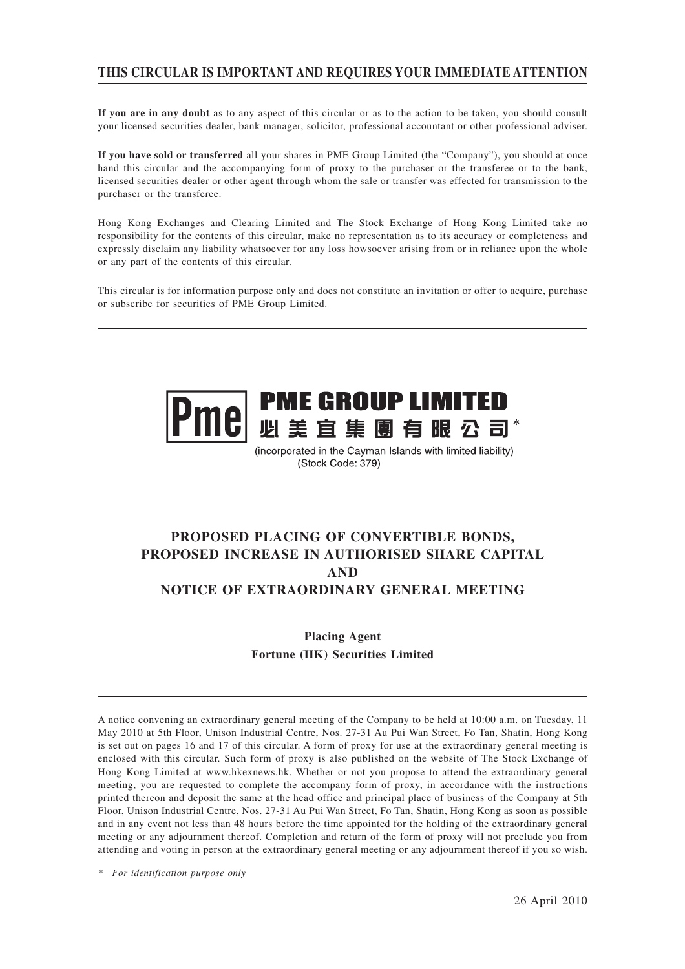## **THIS CIRCULAR IS IMPORTANT AND REQUIRES YOUR IMMEDIATE ATTENTION**

**If you are in any doubt** as to any aspect of this circular or as to the action to be taken, you should consult your licensed securities dealer, bank manager, solicitor, professional accountant or other professional adviser.

**If you have sold or transferred** all your shares in PME Group Limited (the "Company"), you should at once hand this circular and the accompanying form of proxy to the purchaser or the transferee or to the bank, licensed securities dealer or other agent through whom the sale or transfer was effected for transmission to the purchaser or the transferee.

Hong Kong Exchanges and Clearing Limited and The Stock Exchange of Hong Kong Limited take no responsibility for the contents of this circular, make no representation as to its accuracy or completeness and expressly disclaim any liability whatsoever for any loss howsoever arising from or in reliance upon the whole or any part of the contents of this circular.

This circular is for information purpose only and does not constitute an invitation or offer to acquire, purchase or subscribe for securities of PME Group Limited.



(incorporated in the Cayman Islands with limited liability) (Stock Code: 379)

# **PROPOSED PLACING OF CONVERTIBLE BONDS, PROPOSED INCREASE IN AUTHORISED SHARE CAPITAL AND NOTICE OF EXTRAORDINARY GENERAL MEETING**

**Placing Agent Fortune (HK) Securities Limited**

A notice convening an extraordinary general meeting of the Company to be held at 10:00 a.m. on Tuesday, 11 May 2010 at 5th Floor, Unison Industrial Centre, Nos. 27-31 Au Pui Wan Street, Fo Tan, Shatin, Hong Kong is set out on pages 16 and 17 of this circular. A form of proxy for use at the extraordinary general meeting is enclosed with this circular. Such form of proxy is also published on the website of The Stock Exchange of Hong Kong Limited at www.hkexnews.hk. Whether or not you propose to attend the extraordinary general meeting, you are requested to complete the accompany form of proxy, in accordance with the instructions printed thereon and deposit the same at the head office and principal place of business of the Company at 5th Floor, Unison Industrial Centre, Nos. 27-31 Au Pui Wan Street, Fo Tan, Shatin, Hong Kong as soon as possible and in any event not less than 48 hours before the time appointed for the holding of the extraordinary general meeting or any adjournment thereof. Completion and return of the form of proxy will not preclude you from attending and voting in person at the extraordinary general meeting or any adjournment thereof if you so wish.

*\* For identification purpose only*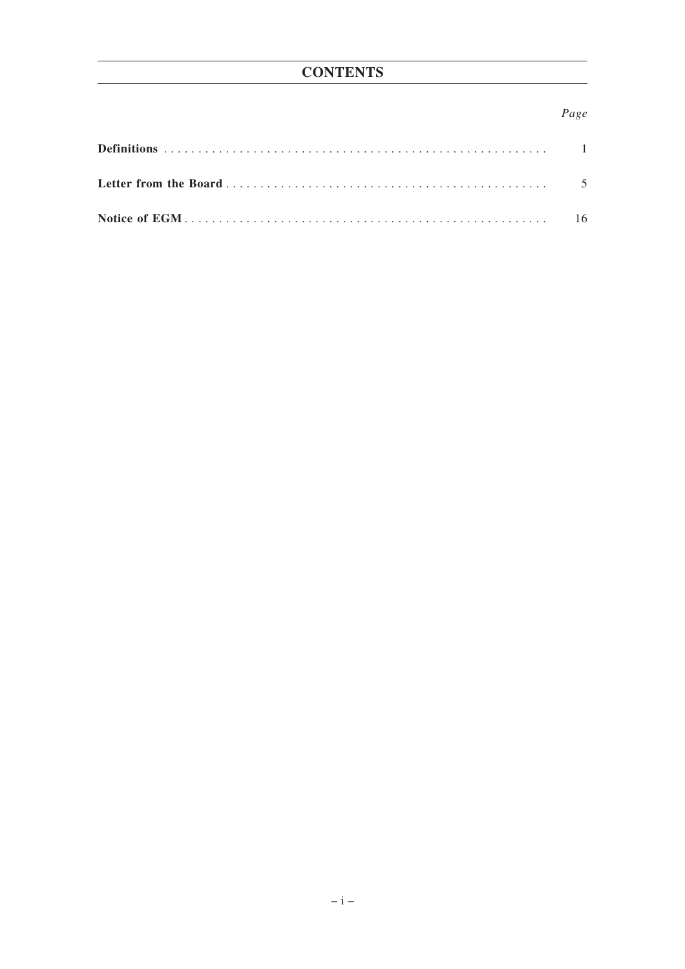## Page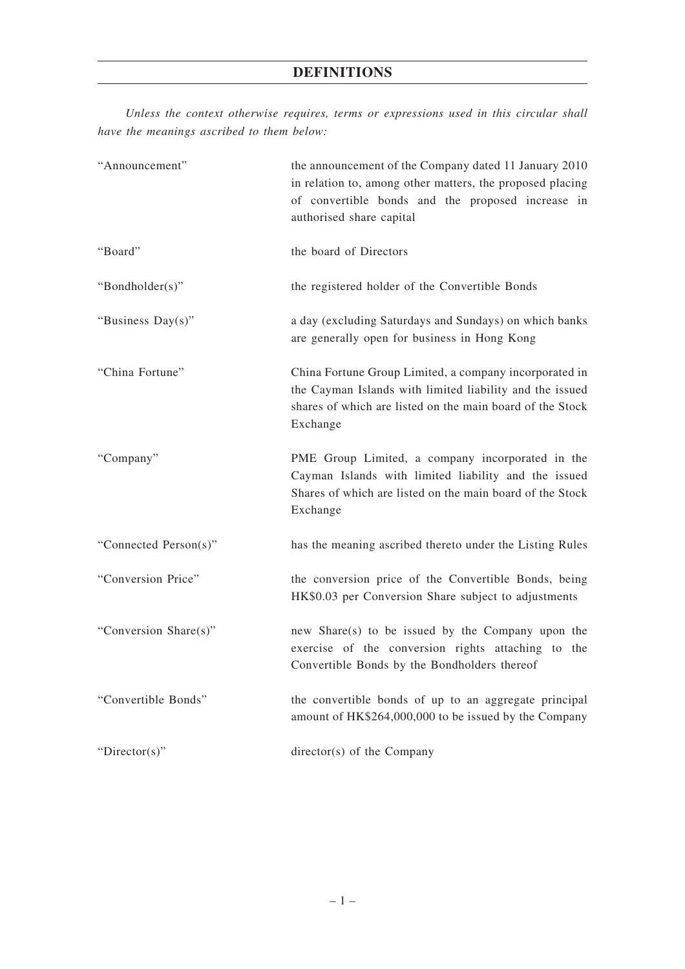*Unless the context otherwise requires, terms or expressions used in this circular shall have the meanings ascribed to them below:*

| "Announcement"        | the announcement of the Company dated 11 January 2010<br>in relation to, among other matters, the proposed placing<br>of convertible bonds and the proposed increase in<br>authorised share capital |
|-----------------------|-----------------------------------------------------------------------------------------------------------------------------------------------------------------------------------------------------|
| "Board"               | the board of Directors                                                                                                                                                                              |
| "Bondholder(s)"       | the registered holder of the Convertible Bonds                                                                                                                                                      |
| "Business Day(s)"     | a day (excluding Saturdays and Sundays) on which banks<br>are generally open for business in Hong Kong                                                                                              |
| "China Fortune"       | China Fortune Group Limited, a company incorporated in<br>the Cayman Islands with limited liability and the issued<br>shares of which are listed on the main board of the Stock<br>Exchange         |
| "Company"             | PME Group Limited, a company incorporated in the<br>Cayman Islands with limited liability and the issued<br>Shares of which are listed on the main board of the Stock<br>Exchange                   |
| "Connected Person(s)" | has the meaning ascribed thereto under the Listing Rules                                                                                                                                            |
| "Conversion Price"    | the conversion price of the Convertible Bonds, being<br>HK\$0.03 per Conversion Share subject to adjustments                                                                                        |
| "Conversion Share(s)" | new Share(s) to be issued by the Company upon the<br>exercise of the conversion rights attaching to the<br>Convertible Bonds by the Bondholders thereof                                             |
| "Convertible Bonds"   | the convertible bonds of up to an aggregate principal<br>amount of HK\$264,000,000 to be issued by the Company                                                                                      |
| " $Directory$ "       | director(s) of the Company                                                                                                                                                                          |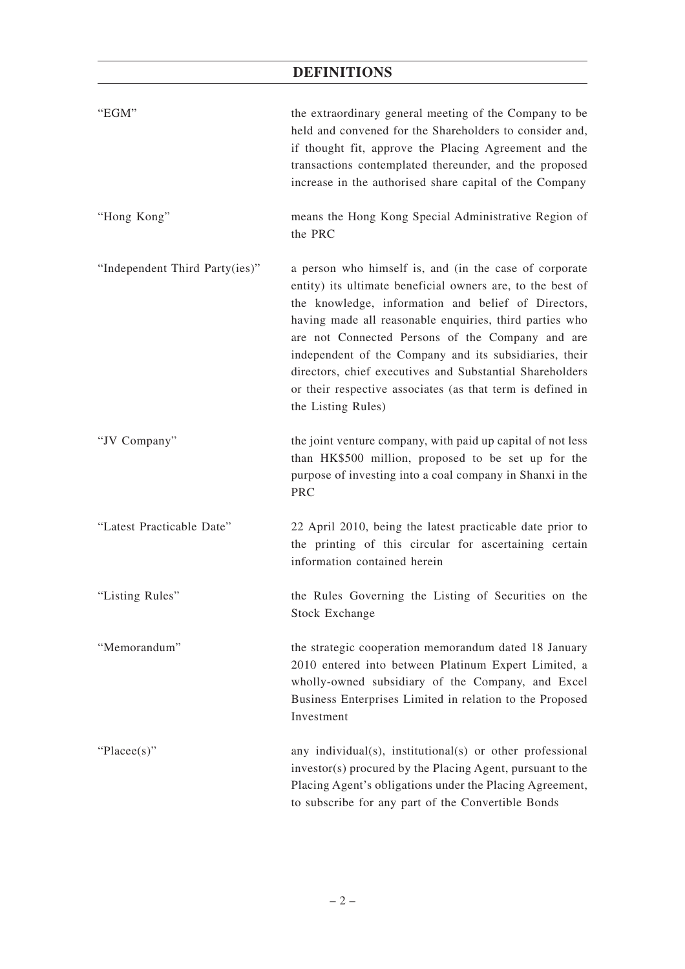# **DEFINITIONS**

| "EGM"                          | the extraordinary general meeting of the Company to be<br>held and convened for the Shareholders to consider and,<br>if thought fit, approve the Placing Agreement and the<br>transactions contemplated thereunder, and the proposed<br>increase in the authorised share capital of the Company                                                                                                                                                                                                      |
|--------------------------------|------------------------------------------------------------------------------------------------------------------------------------------------------------------------------------------------------------------------------------------------------------------------------------------------------------------------------------------------------------------------------------------------------------------------------------------------------------------------------------------------------|
| "Hong Kong"                    | means the Hong Kong Special Administrative Region of<br>the PRC                                                                                                                                                                                                                                                                                                                                                                                                                                      |
| "Independent Third Party(ies)" | a person who himself is, and (in the case of corporate<br>entity) its ultimate beneficial owners are, to the best of<br>the knowledge, information and belief of Directors,<br>having made all reasonable enquiries, third parties who<br>are not Connected Persons of the Company and are<br>independent of the Company and its subsidiaries, their<br>directors, chief executives and Substantial Shareholders<br>or their respective associates (as that term is defined in<br>the Listing Rules) |
| "JV Company"                   | the joint venture company, with paid up capital of not less<br>than HK\$500 million, proposed to be set up for the<br>purpose of investing into a coal company in Shanxi in the<br><b>PRC</b>                                                                                                                                                                                                                                                                                                        |
| "Latest Practicable Date"      | 22 April 2010, being the latest practicable date prior to<br>the printing of this circular for ascertaining certain<br>information contained herein                                                                                                                                                                                                                                                                                                                                                  |
| "Listing Rules"                | the Rules Governing the Listing of Securities on the<br><b>Stock Exchange</b>                                                                                                                                                                                                                                                                                                                                                                                                                        |
| "Memorandum"                   | the strategic cooperation memorandum dated 18 January<br>2010 entered into between Platinum Expert Limited, a<br>wholly-owned subsidiary of the Company, and Excel<br>Business Enterprises Limited in relation to the Proposed<br>Investment                                                                                                                                                                                                                                                         |
| "Placee(s)"                    | any individual(s), institutional(s) or other professional<br>investor(s) procured by the Placing Agent, pursuant to the<br>Placing Agent's obligations under the Placing Agreement,<br>to subscribe for any part of the Convertible Bonds                                                                                                                                                                                                                                                            |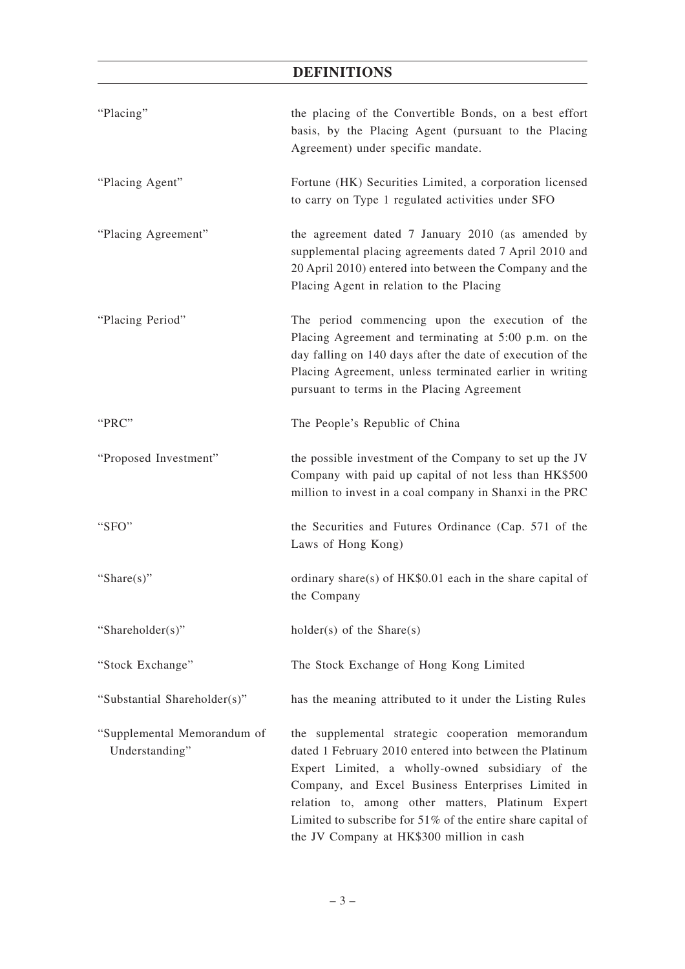# **DEFINITIONS**

| "Placing"                                     | the placing of the Convertible Bonds, on a best effort<br>basis, by the Placing Agent (pursuant to the Placing<br>Agreement) under specific mandate.                                                                                                                                                                                                                                       |
|-----------------------------------------------|--------------------------------------------------------------------------------------------------------------------------------------------------------------------------------------------------------------------------------------------------------------------------------------------------------------------------------------------------------------------------------------------|
| "Placing Agent"                               | Fortune (HK) Securities Limited, a corporation licensed<br>to carry on Type 1 regulated activities under SFO                                                                                                                                                                                                                                                                               |
| "Placing Agreement"                           | the agreement dated 7 January 2010 (as amended by<br>supplemental placing agreements dated 7 April 2010 and<br>20 April 2010) entered into between the Company and the<br>Placing Agent in relation to the Placing                                                                                                                                                                         |
| "Placing Period"                              | The period commencing upon the execution of the<br>Placing Agreement and terminating at 5:00 p.m. on the<br>day falling on 140 days after the date of execution of the<br>Placing Agreement, unless terminated earlier in writing<br>pursuant to terms in the Placing Agreement                                                                                                            |
| "PRC"                                         | The People's Republic of China                                                                                                                                                                                                                                                                                                                                                             |
| "Proposed Investment"                         | the possible investment of the Company to set up the JV<br>Company with paid up capital of not less than HK\$500<br>million to invest in a coal company in Shanxi in the PRC                                                                                                                                                                                                               |
| "SFO"                                         | the Securities and Futures Ordinance (Cap. 571 of the<br>Laws of Hong Kong)                                                                                                                                                                                                                                                                                                                |
| "Share $(s)$ "                                | ordinary share(s) of HK\$0.01 each in the share capital of<br>the Company                                                                                                                                                                                                                                                                                                                  |
| "Shareholder(s)"                              | $holder(s)$ of the Share(s)                                                                                                                                                                                                                                                                                                                                                                |
| "Stock Exchange"                              | The Stock Exchange of Hong Kong Limited                                                                                                                                                                                                                                                                                                                                                    |
| "Substantial Shareholder(s)"                  | has the meaning attributed to it under the Listing Rules                                                                                                                                                                                                                                                                                                                                   |
| "Supplemental Memorandum of<br>Understanding" | the supplemental strategic cooperation memorandum<br>dated 1 February 2010 entered into between the Platinum<br>Expert Limited, a wholly-owned subsidiary of the<br>Company, and Excel Business Enterprises Limited in<br>relation to, among other matters, Platinum Expert<br>Limited to subscribe for $51\%$ of the entire share capital of<br>the JV Company at HK\$300 million in cash |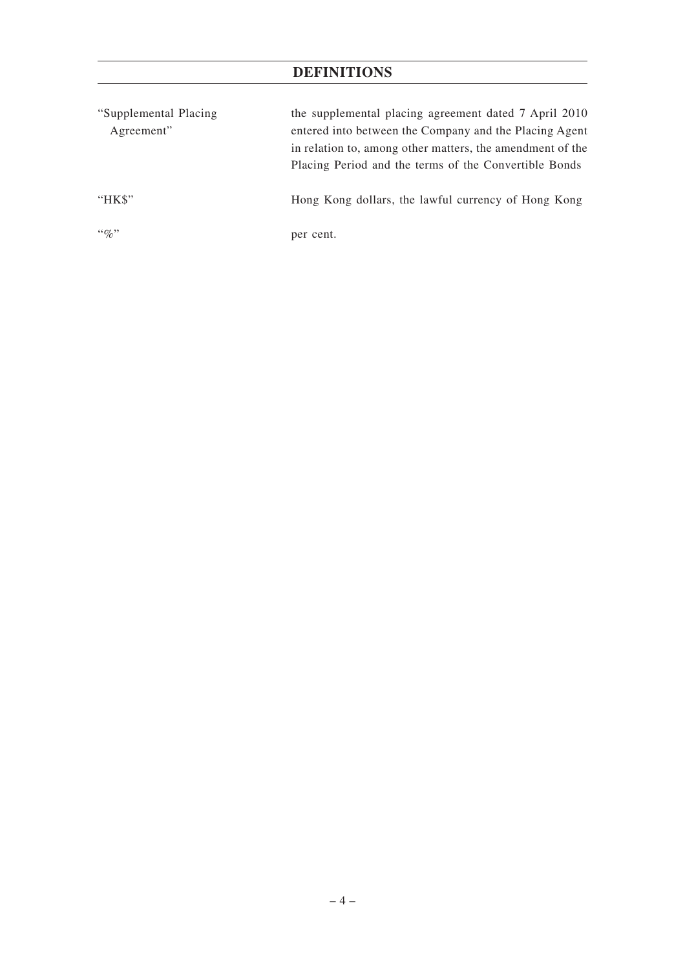# **DEFINITIONS**

| "Supplemental Placing" | the supplemental placing agreement dated 7 April 2010     |
|------------------------|-----------------------------------------------------------|
| Agreement"             | entered into between the Company and the Placing Agent    |
|                        | in relation to, among other matters, the amendment of the |
|                        | Placing Period and the terms of the Convertible Bonds     |
|                        |                                                           |
| " $HKS"$               | Hong Kong dollars, the lawful currency of Hong Kong       |
| $\lq\lq q_0$ "         |                                                           |
|                        | per cent.                                                 |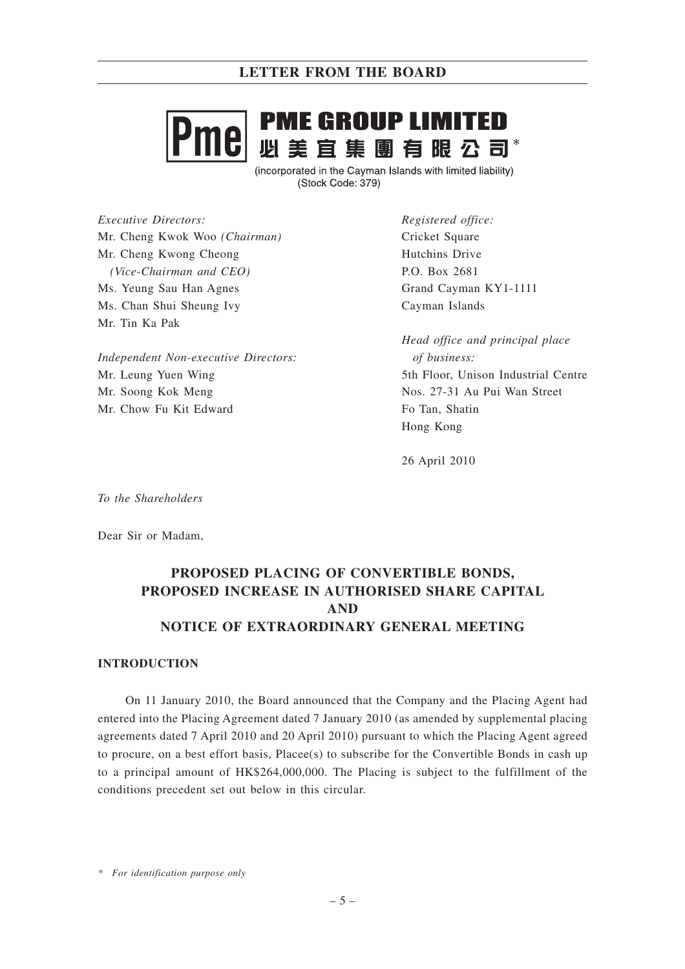# **PME GROUP LIMITED** e - ---- --- - -- ----- --- ---<br>必 美 宜 集 團 有 眼 公 司\*

(incorporated in the Cayman Islands with limited liability) (Stock Code: 379)

*Executive Directors:* Mr. Cheng Kwok Woo *(Chairman)* Mr. Cheng Kwong Cheong *(Vice-Chairman and CEO)* Ms. Yeung Sau Han Agnes Ms. Chan Shui Sheung Ivy Mr. Tin Ka Pak

*Independent Non-executive Directors:* Mr. Leung Yuen Wing Mr. Soong Kok Meng Mr. Chow Fu Kit Edward

*Registered office:* Cricket Square Hutchins Drive P.O. Box 2681 Grand Cayman KY1-1111 Cayman Islands

*Head office and principal place of business:* 5th Floor, Unison Industrial Centre Nos. 27-31 Au Pui Wan Street Fo Tan, Shatin Hong Kong

26 April 2010

*To the Shareholders*

Dear Sir or Madam,

# **PROPOSED PLACING OF CONVERTIBLE BONDS, PROPOSED INCREASE IN AUTHORISED SHARE CAPITAL AND NOTICE OF EXTRAORDINARY GENERAL MEETING**

## **INTRODUCTION**

On 11 January 2010, the Board announced that the Company and the Placing Agent had entered into the Placing Agreement dated 7 January 2010 (as amended by supplemental placing agreements dated 7 April 2010 and 20 April 2010) pursuant to which the Placing Agent agreed to procure, on a best effort basis, Placee(s) to subscribe for the Convertible Bonds in cash up to a principal amount of HK\$264,000,000. The Placing is subject to the fulfillment of the conditions precedent set out below in this circular.

*\* For identification purpose only*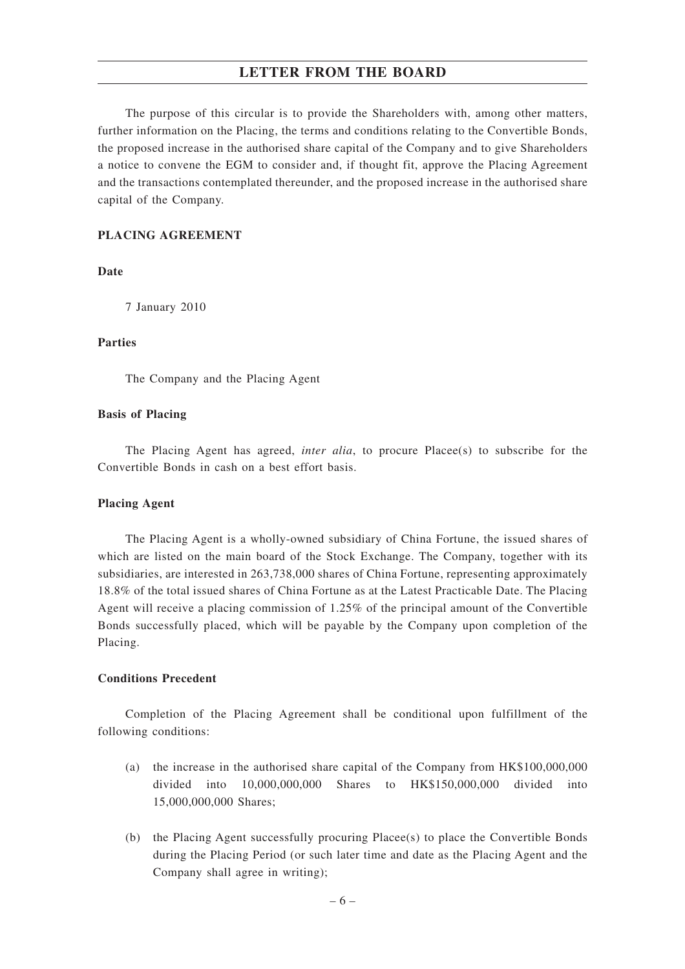The purpose of this circular is to provide the Shareholders with, among other matters, further information on the Placing, the terms and conditions relating to the Convertible Bonds, the proposed increase in the authorised share capital of the Company and to give Shareholders a notice to convene the EGM to consider and, if thought fit, approve the Placing Agreement and the transactions contemplated thereunder, and the proposed increase in the authorised share capital of the Company.

## **PLACING AGREEMENT**

**Date**

7 January 2010

### **Parties**

The Company and the Placing Agent

#### **Basis of Placing**

The Placing Agent has agreed, *inter alia*, to procure Placee(s) to subscribe for the Convertible Bonds in cash on a best effort basis.

#### **Placing Agent**

The Placing Agent is a wholly-owned subsidiary of China Fortune, the issued shares of which are listed on the main board of the Stock Exchange. The Company, together with its subsidiaries, are interested in 263,738,000 shares of China Fortune, representing approximately 18.8% of the total issued shares of China Fortune as at the Latest Practicable Date. The Placing Agent will receive a placing commission of 1.25% of the principal amount of the Convertible Bonds successfully placed, which will be payable by the Company upon completion of the Placing.

## **Conditions Precedent**

Completion of the Placing Agreement shall be conditional upon fulfillment of the following conditions:

- (a) the increase in the authorised share capital of the Company from HK\$100,000,000 divided into 10,000,000,000 Shares to HK\$150,000,000 divided into 15,000,000,000 Shares;
- (b) the Placing Agent successfully procuring Placee(s) to place the Convertible Bonds during the Placing Period (or such later time and date as the Placing Agent and the Company shall agree in writing);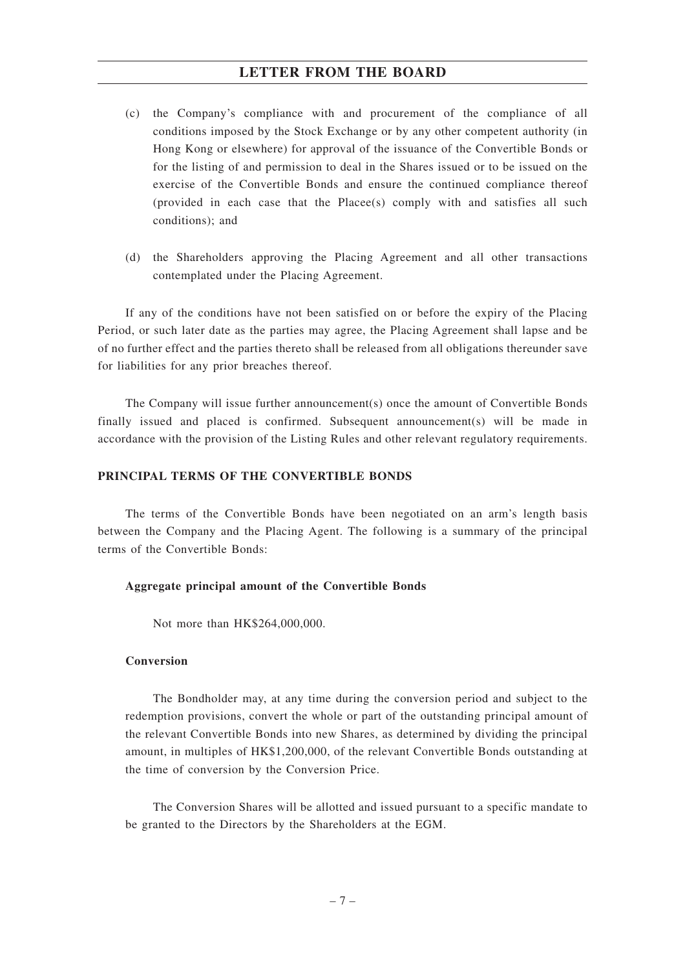- (c) the Company's compliance with and procurement of the compliance of all conditions imposed by the Stock Exchange or by any other competent authority (in Hong Kong or elsewhere) for approval of the issuance of the Convertible Bonds or for the listing of and permission to deal in the Shares issued or to be issued on the exercise of the Convertible Bonds and ensure the continued compliance thereof (provided in each case that the Placee(s) comply with and satisfies all such conditions); and
- (d) the Shareholders approving the Placing Agreement and all other transactions contemplated under the Placing Agreement.

If any of the conditions have not been satisfied on or before the expiry of the Placing Period, or such later date as the parties may agree, the Placing Agreement shall lapse and be of no further effect and the parties thereto shall be released from all obligations thereunder save for liabilities for any prior breaches thereof.

The Company will issue further announcement(s) once the amount of Convertible Bonds finally issued and placed is confirmed. Subsequent announcement(s) will be made in accordance with the provision of the Listing Rules and other relevant regulatory requirements.

### **PRINCIPAL TERMS OF THE CONVERTIBLE BONDS**

The terms of the Convertible Bonds have been negotiated on an arm's length basis between the Company and the Placing Agent. The following is a summary of the principal terms of the Convertible Bonds:

### **Aggregate principal amount of the Convertible Bonds**

Not more than HK\$264,000,000.

### **Conversion**

The Bondholder may, at any time during the conversion period and subject to the redemption provisions, convert the whole or part of the outstanding principal amount of the relevant Convertible Bonds into new Shares, as determined by dividing the principal amount, in multiples of HK\$1,200,000, of the relevant Convertible Bonds outstanding at the time of conversion by the Conversion Price.

The Conversion Shares will be allotted and issued pursuant to a specific mandate to be granted to the Directors by the Shareholders at the EGM.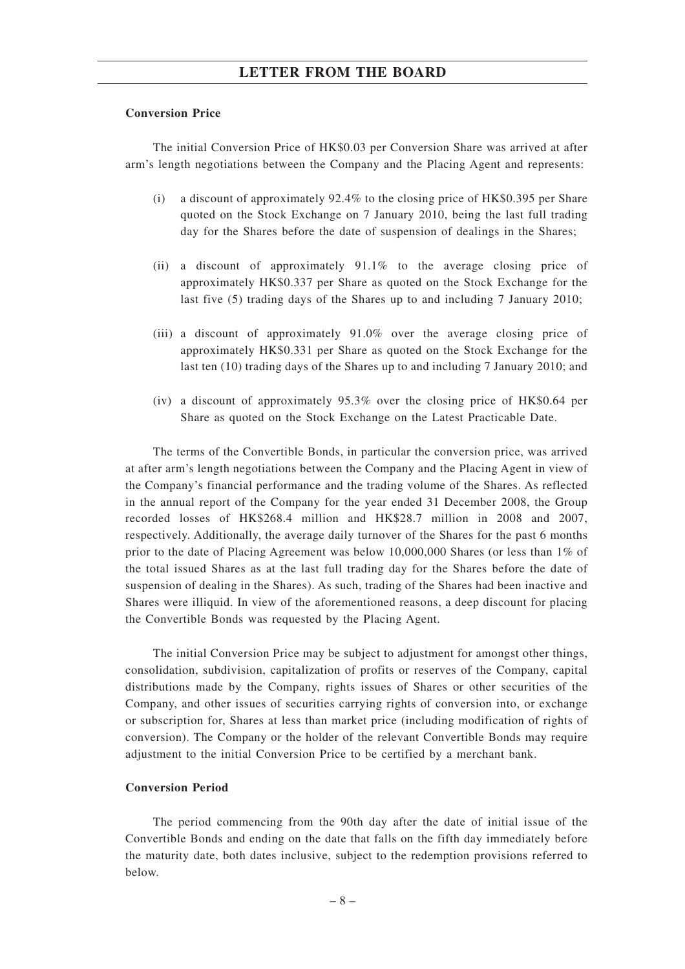### **Conversion Price**

The initial Conversion Price of HK\$0.03 per Conversion Share was arrived at after arm's length negotiations between the Company and the Placing Agent and represents:

- (i) a discount of approximately 92.4% to the closing price of HK\$0.395 per Share quoted on the Stock Exchange on 7 January 2010, being the last full trading day for the Shares before the date of suspension of dealings in the Shares;
- (ii) a discount of approximately 91.1% to the average closing price of approximately HK\$0.337 per Share as quoted on the Stock Exchange for the last five (5) trading days of the Shares up to and including 7 January 2010;
- (iii) a discount of approximately 91.0% over the average closing price of approximately HK\$0.331 per Share as quoted on the Stock Exchange for the last ten (10) trading days of the Shares up to and including 7 January 2010; and
- (iv) a discount of approximately 95.3% over the closing price of HK\$0.64 per Share as quoted on the Stock Exchange on the Latest Practicable Date.

The terms of the Convertible Bonds, in particular the conversion price, was arrived at after arm's length negotiations between the Company and the Placing Agent in view of the Company's financial performance and the trading volume of the Shares. As reflected in the annual report of the Company for the year ended 31 December 2008, the Group recorded losses of HK\$268.4 million and HK\$28.7 million in 2008 and 2007, respectively. Additionally, the average daily turnover of the Shares for the past 6 months prior to the date of Placing Agreement was below 10,000,000 Shares (or less than 1% of the total issued Shares as at the last full trading day for the Shares before the date of suspension of dealing in the Shares). As such, trading of the Shares had been inactive and Shares were illiquid. In view of the aforementioned reasons, a deep discount for placing the Convertible Bonds was requested by the Placing Agent.

The initial Conversion Price may be subject to adjustment for amongst other things, consolidation, subdivision, capitalization of profits or reserves of the Company, capital distributions made by the Company, rights issues of Shares or other securities of the Company, and other issues of securities carrying rights of conversion into, or exchange or subscription for, Shares at less than market price (including modification of rights of conversion). The Company or the holder of the relevant Convertible Bonds may require adjustment to the initial Conversion Price to be certified by a merchant bank.

## **Conversion Period**

The period commencing from the 90th day after the date of initial issue of the Convertible Bonds and ending on the date that falls on the fifth day immediately before the maturity date, both dates inclusive, subject to the redemption provisions referred to below.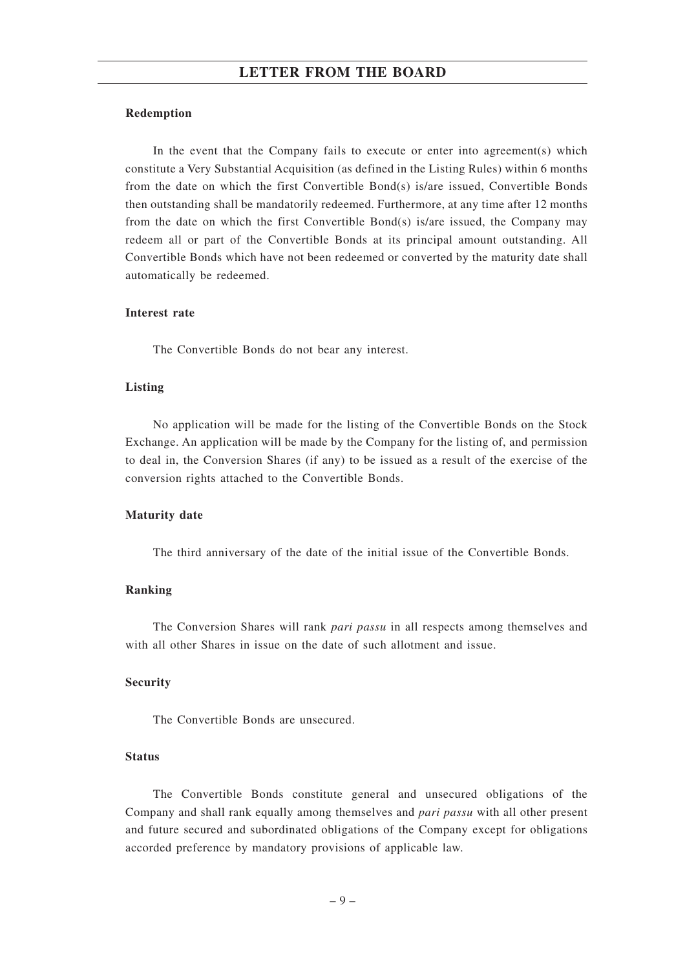#### **Redemption**

In the event that the Company fails to execute or enter into agreement(s) which constitute a Very Substantial Acquisition (as defined in the Listing Rules) within 6 months from the date on which the first Convertible Bond(s) is/are issued, Convertible Bonds then outstanding shall be mandatorily redeemed. Furthermore, at any time after 12 months from the date on which the first Convertible Bond(s) is/are issued, the Company may redeem all or part of the Convertible Bonds at its principal amount outstanding. All Convertible Bonds which have not been redeemed or converted by the maturity date shall automatically be redeemed.

### **Interest rate**

The Convertible Bonds do not bear any interest.

#### **Listing**

No application will be made for the listing of the Convertible Bonds on the Stock Exchange. An application will be made by the Company for the listing of, and permission to deal in, the Conversion Shares (if any) to be issued as a result of the exercise of the conversion rights attached to the Convertible Bonds.

#### **Maturity date**

The third anniversary of the date of the initial issue of the Convertible Bonds.

#### **Ranking**

The Conversion Shares will rank *pari passu* in all respects among themselves and with all other Shares in issue on the date of such allotment and issue.

#### **Security**

The Convertible Bonds are unsecured.

## **Status**

The Convertible Bonds constitute general and unsecured obligations of the Company and shall rank equally among themselves and *pari passu* with all other present and future secured and subordinated obligations of the Company except for obligations accorded preference by mandatory provisions of applicable law.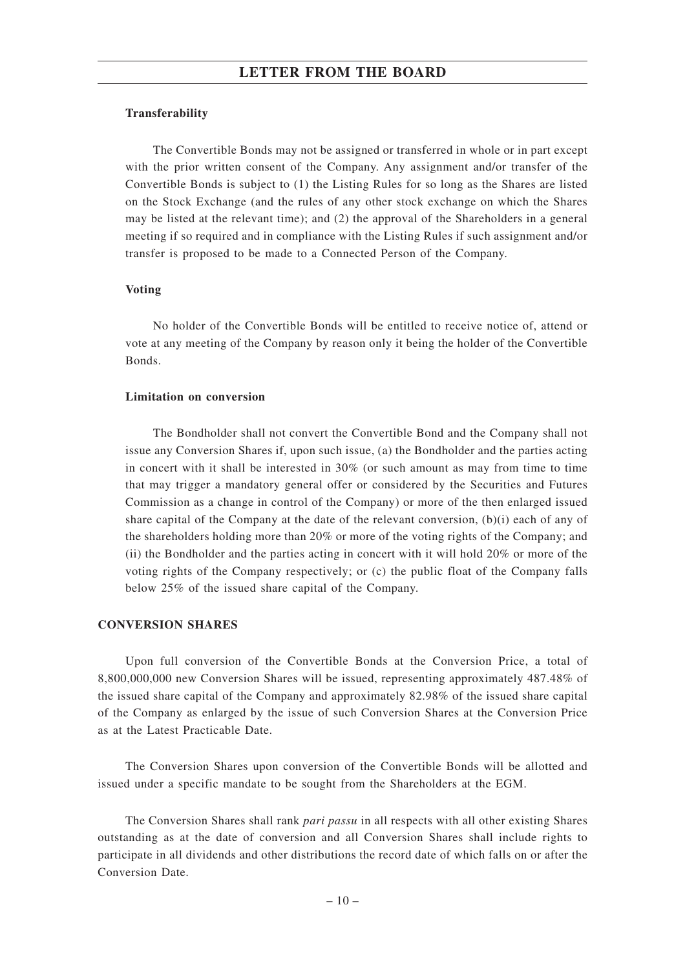### **Transferability**

The Convertible Bonds may not be assigned or transferred in whole or in part except with the prior written consent of the Company. Any assignment and/or transfer of the Convertible Bonds is subject to (1) the Listing Rules for so long as the Shares are listed on the Stock Exchange (and the rules of any other stock exchange on which the Shares may be listed at the relevant time); and (2) the approval of the Shareholders in a general meeting if so required and in compliance with the Listing Rules if such assignment and/or transfer is proposed to be made to a Connected Person of the Company.

### **Voting**

No holder of the Convertible Bonds will be entitled to receive notice of, attend or vote at any meeting of the Company by reason only it being the holder of the Convertible Bonds.

### **Limitation on conversion**

The Bondholder shall not convert the Convertible Bond and the Company shall not issue any Conversion Shares if, upon such issue, (a) the Bondholder and the parties acting in concert with it shall be interested in 30% (or such amount as may from time to time that may trigger a mandatory general offer or considered by the Securities and Futures Commission as a change in control of the Company) or more of the then enlarged issued share capital of the Company at the date of the relevant conversion, (b)(i) each of any of the shareholders holding more than 20% or more of the voting rights of the Company; and (ii) the Bondholder and the parties acting in concert with it will hold 20% or more of the voting rights of the Company respectively; or (c) the public float of the Company falls below 25% of the issued share capital of the Company.

### **CONVERSION SHARES**

Upon full conversion of the Convertible Bonds at the Conversion Price, a total of 8,800,000,000 new Conversion Shares will be issued, representing approximately 487.48% of the issued share capital of the Company and approximately 82.98% of the issued share capital of the Company as enlarged by the issue of such Conversion Shares at the Conversion Price as at the Latest Practicable Date.

The Conversion Shares upon conversion of the Convertible Bonds will be allotted and issued under a specific mandate to be sought from the Shareholders at the EGM.

The Conversion Shares shall rank *pari passu* in all respects with all other existing Shares outstanding as at the date of conversion and all Conversion Shares shall include rights to participate in all dividends and other distributions the record date of which falls on or after the Conversion Date.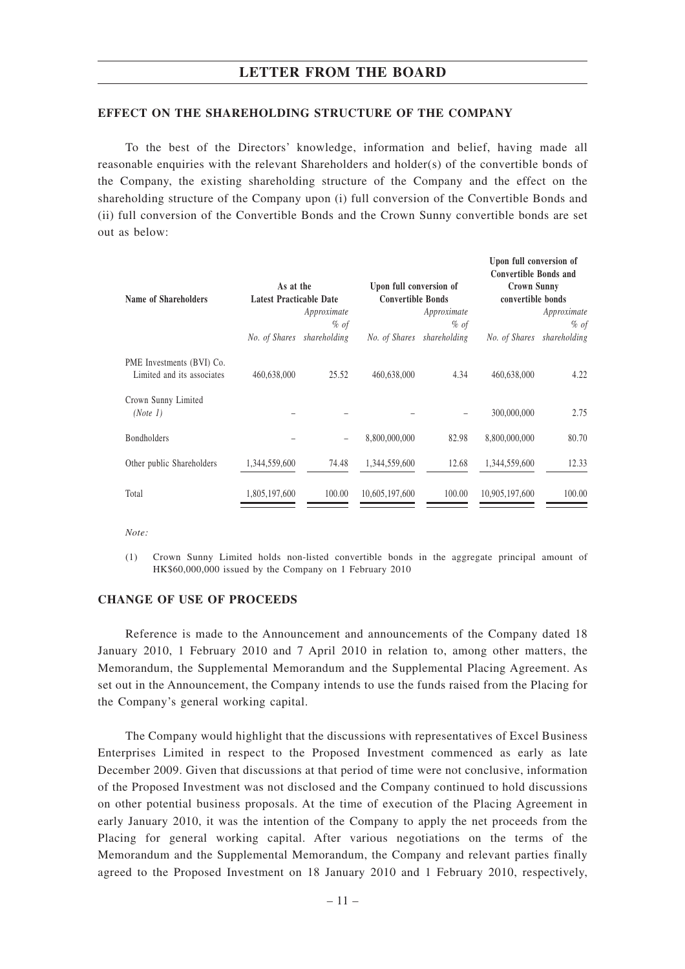#### **EFFECT ON THE SHAREHOLDING STRUCTURE OF THE COMPANY**

To the best of the Directors' knowledge, information and belief, having made all reasonable enquiries with the relevant Shareholders and holder(s) of the convertible bonds of the Company, the existing shareholding structure of the Company and the effect on the shareholding structure of the Company upon (i) full conversion of the Convertible Bonds and (ii) full conversion of the Convertible Bonds and the Crown Sunny convertible bonds are set out as below:

| <b>Name of Shareholders</b>                             | As at the<br><b>Latest Practicable Date</b> |                     | Upon full conversion of<br><b>Convertible Bonds</b> |                       | UPUN TUN CUNVERSIUM UT<br><b>Convertible Bonds and</b><br><b>Crown Sunny</b><br>convertible bonds |                       |
|---------------------------------------------------------|---------------------------------------------|---------------------|-----------------------------------------------------|-----------------------|---------------------------------------------------------------------------------------------------|-----------------------|
|                                                         |                                             | Approximate<br>% of |                                                     | Approximate<br>$%$ of |                                                                                                   | Approximate<br>$%$ of |
|                                                         | No. of Shares                               | shareholding        | No. of Shares                                       | shareholding          | No. of Shares                                                                                     | shareholding          |
| PME Investments (BVI) Co.<br>Limited and its associates | 460,638,000                                 | 25.52               | 460,638,000                                         | 4.34                  | 460,638,000                                                                                       | 4.22                  |
| Crown Sunny Limited<br>(Note 1)                         |                                             |                     |                                                     |                       | 300,000,000                                                                                       | 2.75                  |
| <b>Bondholders</b>                                      |                                             |                     | 8,800,000,000                                       | 82.98                 | 8,800,000,000                                                                                     | 80.70                 |
| Other public Shareholders                               | 1,344,559,600                               | 74.48               | 1,344,559,600                                       | 12.68                 | 1,344,559,600                                                                                     | 12.33                 |
| Total                                                   | 1,805,197,600                               | 100.00              | 10,605,197,600                                      | 100.00                | 10,905,197,600                                                                                    | 100.00                |

**Upon full conversion of**

*Note:*

(1) Crown Sunny Limited holds non-listed convertible bonds in the aggregate principal amount of HK\$60,000,000 issued by the Company on 1 February 2010

### **CHANGE OF USE OF PROCEEDS**

Reference is made to the Announcement and announcements of the Company dated 18 January 2010, 1 February 2010 and 7 April 2010 in relation to, among other matters, the Memorandum, the Supplemental Memorandum and the Supplemental Placing Agreement. As set out in the Announcement, the Company intends to use the funds raised from the Placing for the Company's general working capital.

The Company would highlight that the discussions with representatives of Excel Business Enterprises Limited in respect to the Proposed Investment commenced as early as late December 2009. Given that discussions at that period of time were not conclusive, information of the Proposed Investment was not disclosed and the Company continued to hold discussions on other potential business proposals. At the time of execution of the Placing Agreement in early January 2010, it was the intention of the Company to apply the net proceeds from the Placing for general working capital. After various negotiations on the terms of the Memorandum and the Supplemental Memorandum, the Company and relevant parties finally agreed to the Proposed Investment on 18 January 2010 and 1 February 2010, respectively,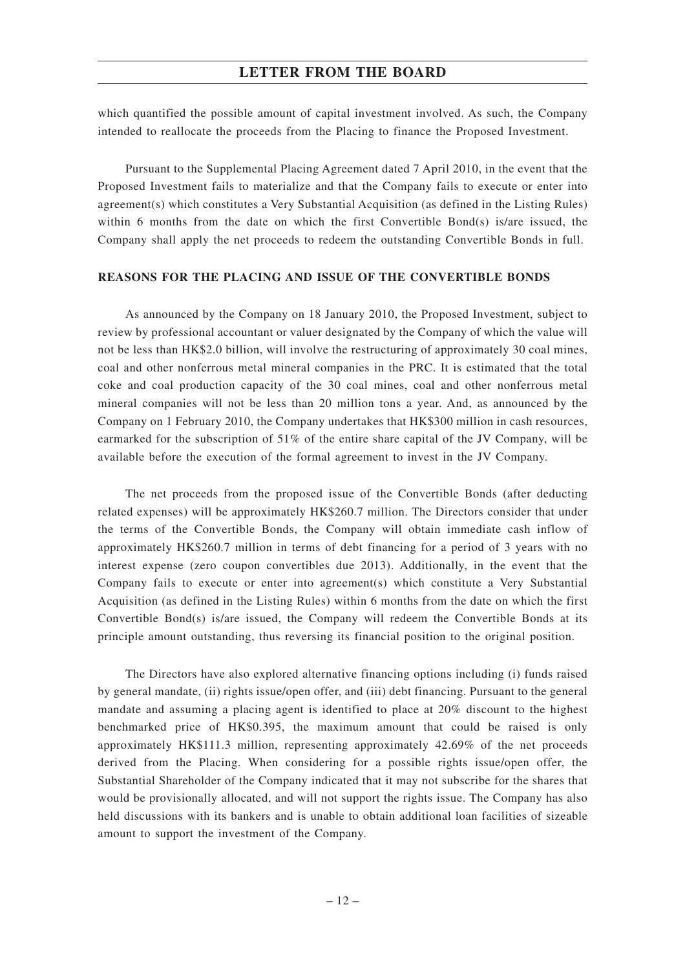which quantified the possible amount of capital investment involved. As such, the Company intended to reallocate the proceeds from the Placing to finance the Proposed Investment.

Pursuant to the Supplemental Placing Agreement dated 7 April 2010, in the event that the Proposed Investment fails to materialize and that the Company fails to execute or enter into agreement(s) which constitutes a Very Substantial Acquisition (as defined in the Listing Rules) within 6 months from the date on which the first Convertible Bond(s) is/are issued, the Company shall apply the net proceeds to redeem the outstanding Convertible Bonds in full.

### **REASONS FOR THE PLACING AND ISSUE OF THE CONVERTIBLE BONDS**

As announced by the Company on 18 January 2010, the Proposed Investment, subject to review by professional accountant or valuer designated by the Company of which the value will not be less than HK\$2.0 billion, will involve the restructuring of approximately 30 coal mines, coal and other nonferrous metal mineral companies in the PRC. It is estimated that the total coke and coal production capacity of the 30 coal mines, coal and other nonferrous metal mineral companies will not be less than 20 million tons a year. And, as announced by the Company on 1 February 2010, the Company undertakes that HK\$300 million in cash resources, earmarked for the subscription of 51% of the entire share capital of the JV Company, will be available before the execution of the formal agreement to invest in the JV Company.

The net proceeds from the proposed issue of the Convertible Bonds (after deducting related expenses) will be approximately HK\$260.7 million. The Directors consider that under the terms of the Convertible Bonds, the Company will obtain immediate cash inflow of approximately HK\$260.7 million in terms of debt financing for a period of 3 years with no interest expense (zero coupon convertibles due 2013). Additionally, in the event that the Company fails to execute or enter into agreement(s) which constitute a Very Substantial Acquisition (as defined in the Listing Rules) within 6 months from the date on which the first Convertible Bond $(s)$  is/are issued, the Company will redeem the Convertible Bonds at its principle amount outstanding, thus reversing its financial position to the original position.

The Directors have also explored alternative financing options including (i) funds raised by general mandate, (ii) rights issue/open offer, and (iii) debt financing. Pursuant to the general mandate and assuming a placing agent is identified to place at 20% discount to the highest benchmarked price of HK\$0.395, the maximum amount that could be raised is only approximately HK\$111.3 million, representing approximately 42.69% of the net proceeds derived from the Placing. When considering for a possible rights issue/open offer, the Substantial Shareholder of the Company indicated that it may not subscribe for the shares that would be provisionally allocated, and will not support the rights issue. The Company has also held discussions with its bankers and is unable to obtain additional loan facilities of sizeable amount to support the investment of the Company.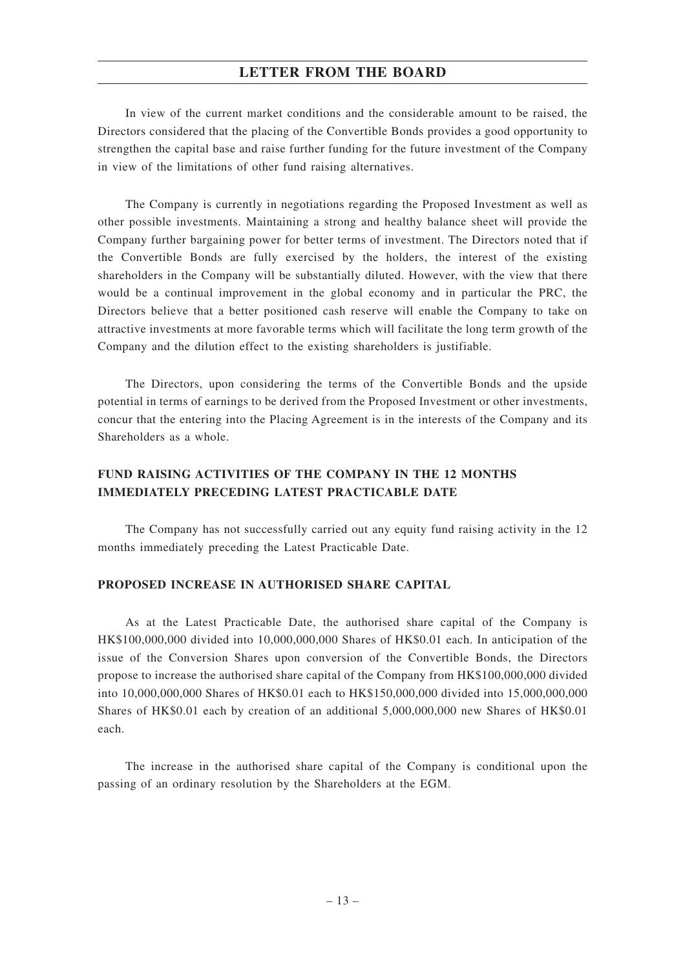In view of the current market conditions and the considerable amount to be raised, the Directors considered that the placing of the Convertible Bonds provides a good opportunity to strengthen the capital base and raise further funding for the future investment of the Company in view of the limitations of other fund raising alternatives.

The Company is currently in negotiations regarding the Proposed Investment as well as other possible investments. Maintaining a strong and healthy balance sheet will provide the Company further bargaining power for better terms of investment. The Directors noted that if the Convertible Bonds are fully exercised by the holders, the interest of the existing shareholders in the Company will be substantially diluted. However, with the view that there would be a continual improvement in the global economy and in particular the PRC, the Directors believe that a better positioned cash reserve will enable the Company to take on attractive investments at more favorable terms which will facilitate the long term growth of the Company and the dilution effect to the existing shareholders is justifiable.

The Directors, upon considering the terms of the Convertible Bonds and the upside potential in terms of earnings to be derived from the Proposed Investment or other investments, concur that the entering into the Placing Agreement is in the interests of the Company and its Shareholders as a whole.

## **FUND RAISING ACTIVITIES OF THE COMPANY IN THE 12 MONTHS IMMEDIATELY PRECEDING LATEST PRACTICABLE DATE**

The Company has not successfully carried out any equity fund raising activity in the 12 months immediately preceding the Latest Practicable Date.

## **PROPOSED INCREASE IN AUTHORISED SHARE CAPITAL**

As at the Latest Practicable Date, the authorised share capital of the Company is HK\$100,000,000 divided into 10,000,000,000 Shares of HK\$0.01 each. In anticipation of the issue of the Conversion Shares upon conversion of the Convertible Bonds, the Directors propose to increase the authorised share capital of the Company from HK\$100,000,000 divided into 10,000,000,000 Shares of HK\$0.01 each to HK\$150,000,000 divided into 15,000,000,000 Shares of HK\$0.01 each by creation of an additional 5,000,000,000 new Shares of HK\$0.01 each.

The increase in the authorised share capital of the Company is conditional upon the passing of an ordinary resolution by the Shareholders at the EGM.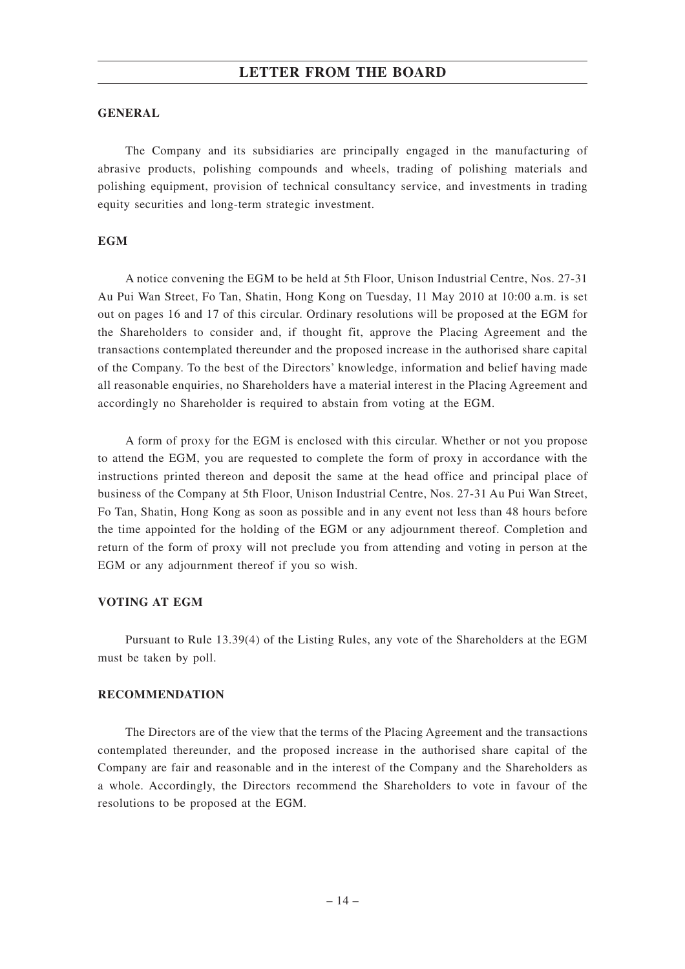### **GENERAL**

The Company and its subsidiaries are principally engaged in the manufacturing of abrasive products, polishing compounds and wheels, trading of polishing materials and polishing equipment, provision of technical consultancy service, and investments in trading equity securities and long-term strategic investment.

### **EGM**

A notice convening the EGM to be held at 5th Floor, Unison Industrial Centre, Nos. 27-31 Au Pui Wan Street, Fo Tan, Shatin, Hong Kong on Tuesday, 11 May 2010 at 10:00 a.m. is set out on pages 16 and 17 of this circular. Ordinary resolutions will be proposed at the EGM for the Shareholders to consider and, if thought fit, approve the Placing Agreement and the transactions contemplated thereunder and the proposed increase in the authorised share capital of the Company. To the best of the Directors' knowledge, information and belief having made all reasonable enquiries, no Shareholders have a material interest in the Placing Agreement and accordingly no Shareholder is required to abstain from voting at the EGM.

A form of proxy for the EGM is enclosed with this circular. Whether or not you propose to attend the EGM, you are requested to complete the form of proxy in accordance with the instructions printed thereon and deposit the same at the head office and principal place of business of the Company at 5th Floor, Unison Industrial Centre, Nos. 27-31 Au Pui Wan Street, Fo Tan, Shatin, Hong Kong as soon as possible and in any event not less than 48 hours before the time appointed for the holding of the EGM or any adjournment thereof. Completion and return of the form of proxy will not preclude you from attending and voting in person at the EGM or any adjournment thereof if you so wish.

#### **VOTING AT EGM**

Pursuant to Rule 13.39(4) of the Listing Rules, any vote of the Shareholders at the EGM must be taken by poll.

#### **RECOMMENDATION**

The Directors are of the view that the terms of the Placing Agreement and the transactions contemplated thereunder, and the proposed increase in the authorised share capital of the Company are fair and reasonable and in the interest of the Company and the Shareholders as a whole. Accordingly, the Directors recommend the Shareholders to vote in favour of the resolutions to be proposed at the EGM.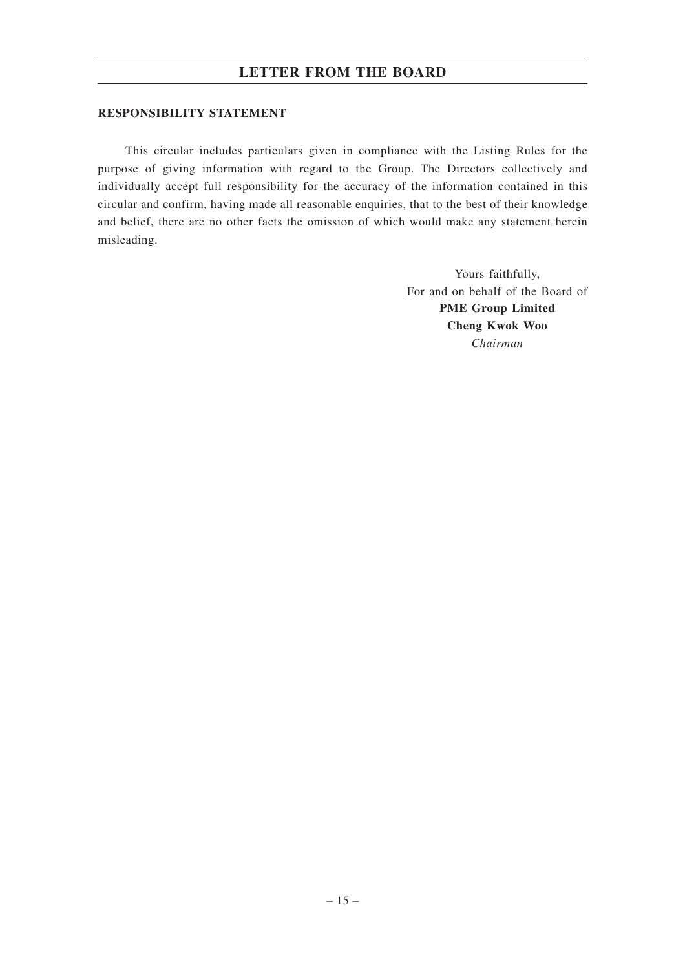## **RESPONSIBILITY STATEMENT**

This circular includes particulars given in compliance with the Listing Rules for the purpose of giving information with regard to the Group. The Directors collectively and individually accept full responsibility for the accuracy of the information contained in this circular and confirm, having made all reasonable enquiries, that to the best of their knowledge and belief, there are no other facts the omission of which would make any statement herein misleading.

> Yours faithfully, For and on behalf of the Board of **PME Group Limited Cheng Kwok Woo** *Chairman*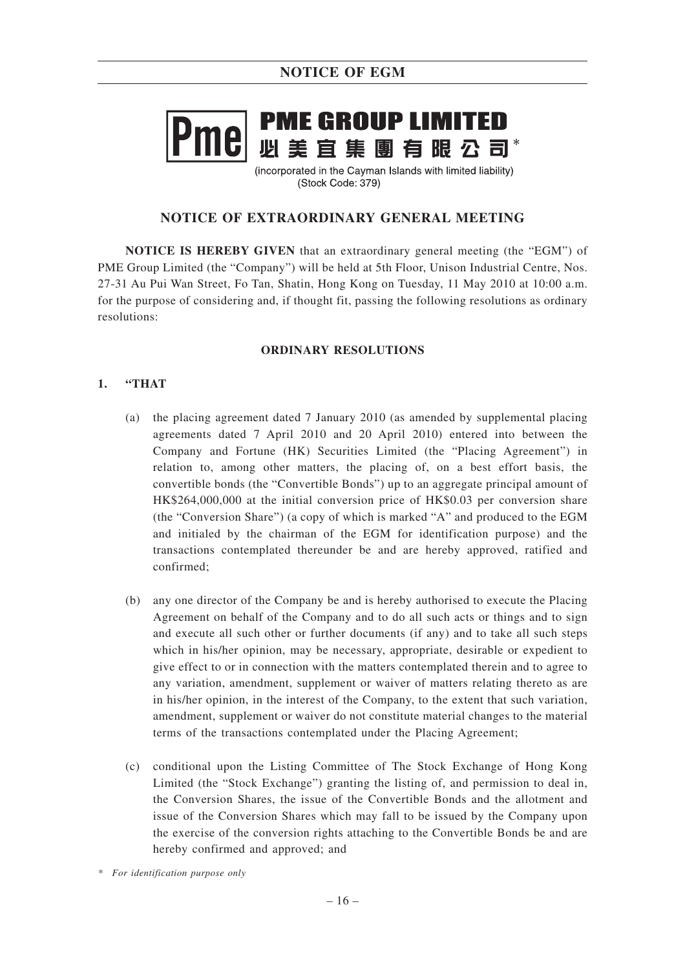# **PME GROUP LIMITED** mel

(incorporated in the Cayman Islands with limited liability) (Stock Code: 379)

## **NOTICE OF EXTRAORDINARY GENERAL MEETING**

**NOTICE IS HEREBY GIVEN** that an extraordinary general meeting (the "EGM") of PME Group Limited (the "Company") will be held at 5th Floor, Unison Industrial Centre, Nos. 27-31 Au Pui Wan Street, Fo Tan, Shatin, Hong Kong on Tuesday, 11 May 2010 at 10:00 a.m. for the purpose of considering and, if thought fit, passing the following resolutions as ordinary resolutions:

## **ORDINARY RESOLUTIONS**

## **1. "THAT**

- (a) the placing agreement dated 7 January 2010 (as amended by supplemental placing agreements dated 7 April 2010 and 20 April 2010) entered into between the Company and Fortune (HK) Securities Limited (the "Placing Agreement") in relation to, among other matters, the placing of, on a best effort basis, the convertible bonds (the "Convertible Bonds") up to an aggregate principal amount of HK\$264,000,000 at the initial conversion price of HK\$0.03 per conversion share (the "Conversion Share") (a copy of which is marked "A" and produced to the EGM and initialed by the chairman of the EGM for identification purpose) and the transactions contemplated thereunder be and are hereby approved, ratified and confirmed;
- (b) any one director of the Company be and is hereby authorised to execute the Placing Agreement on behalf of the Company and to do all such acts or things and to sign and execute all such other or further documents (if any) and to take all such steps which in his/her opinion, may be necessary, appropriate, desirable or expedient to give effect to or in connection with the matters contemplated therein and to agree to any variation, amendment, supplement or waiver of matters relating thereto as are in his/her opinion, in the interest of the Company, to the extent that such variation, amendment, supplement or waiver do not constitute material changes to the material terms of the transactions contemplated under the Placing Agreement;
- (c) conditional upon the Listing Committee of The Stock Exchange of Hong Kong Limited (the "Stock Exchange") granting the listing of, and permission to deal in, the Conversion Shares, the issue of the Convertible Bonds and the allotment and issue of the Conversion Shares which may fall to be issued by the Company upon the exercise of the conversion rights attaching to the Convertible Bonds be and are hereby confirmed and approved; and

*<sup>\*</sup> For identification purpose only*